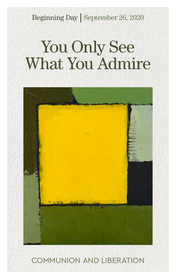Beginning Day | September 26, 2020

# You Only See What You Admire



COMMUNION AND LIBERATION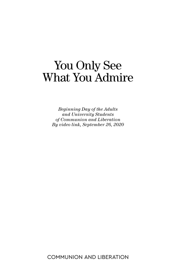## You Only See What You Admire

*Beginning Day of the Adults and University Students of Communion and Liberation By video link, September 26, 2020*

COMMUNION AND LIBERATION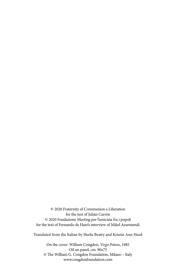© 2020 Fraternity of Communion a Liberation for the text of Julián Carrón © 2020 Fondazione Meeting per l'amicizia fra i popoli for the text of Fernando de Haro's interview of Mikel Azurmendi

Translated from the Italian by Sheila Beatty and Kristin Ann Hurd

On the cover: William Congdon, *Virgo Potens*, 1985 Oil on panel, cm. 90x75 © The William G. Congdon Foundation, Milano – Italy www.congdonfoundation.com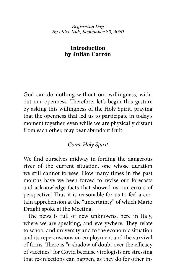#### *Beginning Day By video link, September 26, 2020*

#### **Introduction by Julián Carrón**

God can do nothing without our willingness, without our openness. Therefore, let's begin this gesture by asking this willingness of the Holy Spirit, praying that the openness that led us to participate in today's moment together, even while we are physically distant from each other, may bear abundant fruit.

### *Come Holy Spirit*

We find ourselves midway in fording the dangerous river of the current situation, one whose duration we still cannot foresee. How many times in the past months have we been forced to revise our forecasts and acknowledge facts that showed us our errors of perspective! Thus it is reasonable for us to feel a certain apprehension at the "uncertainty" of which Mario Draghi spoke at the Meeting.

The news is full of new unknowns, here in Italy, where we are speaking, and everywhere. They relate to school and university and to the economic situation and its repercussions on employment and the survival of firms. There is "a shadow of doubt over the efficacy of vaccines" for Covid because virologists are stressing that re-infections can happen, as they do for other in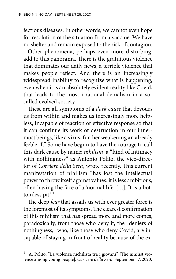fectious diseases. In other words, we cannot even hope for resolution of the situation from a vaccine. We have no shelter and remain exposed to the risk of contagion.

Other phenomena, perhaps even more disturbing, add to this panorama. There is the gratuitous violence that dominates our daily news, a terrible violence that makes people reflect. And there is an increasingly widespread inability to recognize what is happening, even when it is an absolutely evident reality like Covid, that leads to the most irrational denialism in a socalled evolved society.

These are all symptoms of a *dark cause* that devours us from within and makes us increasingly more helpless, incapable of reaction or effective response so that it can continue its work of destruction in our innermost beings, like a virus, further weakening an already feeble "I." Some have begun to have the courage to call this dark cause by name: *nihilism*, a "kind of intimacy with nothingness" as Antonio Polito, the vice-director of *Corriere della Sera*, wrote recently. This current manifestation of nihilism "has lost the intellectual power to throw itself against values: it is less ambitious, often having the face of a 'normal life' […]. It is a bottomless pit."1

The deep *fear* that assails us with ever greater force is the foremost of its symptoms. The clearest confirmation of this nihilism that has spread more and more comes, paradoxically, from those who deny it, the "deniers of nothingness," who, like those who deny Covid, are incapable of staying in front of reality because of the ex-

<sup>1</sup> A. Polito, "La violenza nichilista tra i giovani" [The nihilist violence among young people], *Corriere della Sera*, September 17, 2020.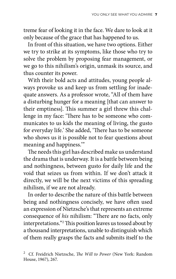treme fear of looking it in the face. We dare to look at it only because of the grace that has happened to us.

In front of this situation, we have two options. Either we try to strike at its symptoms, like those who try to solve the problem by proposing fear management, or we go to this nihilism's origin, unmask its source, and thus counter its power.

With their bold acts and attitudes, young people always provoke us and keep us from settling for inadequate answers. As a professor wrote, "All of them have a disturbing hunger for a meaning [that can answer to their emptiness]. This summer a girl threw this challenge in my face: 'There has to be someone who communicates to us kids the meaning of living, the gusto for everyday life.' She added, 'There has to be someone who shows us it is possible not to fear questions about meaning and happiness.'"

The needs this girl has described make us understand the drama that is underway. It is a battle between being and nothingness, between gusto for daily life and the void that seizes us from within. If we don't attack it directly, we will be the next victims of this spreading nihilism, if we are not already.

In order to describe the nature of this battle between being and nothingness concisely, we have often used an expression of Nietzsche's that represents an extreme consequence of *his* nihilism: "There are no facts, only interpretations."2 This position leaves us tossed about by a thousand interpretations, unable to distinguish which of them really grasps the facts and submits itself to the

<sup>2</sup> Cf. Freidrich Nietzsche, *The Will to Power* (New York: Random House, 1967), 267.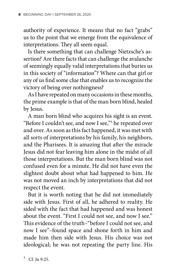authority of experience. It means that no fact "grabs" us to the point that we emerge from the equivalence of interpretations. They all seem equal.

Is there something that can challenge Nietzsche's assertion? Are there facts that can challenge the avalanche of seemingly equally valid interpretations that buries us in this society of "information"? Where can that girl or any of us find some clue that enables us to recognize the victory of being over nothingness?

As I have repeated on many occasions in these months, the prime example is that of the man born blind, healed by Jesus.

A man born blind who acquires his sight is an event. "Before I couldn't see, and now I see,"3 he repeated over and over. As soon as this fact happened, it was met with all sorts of interpretations by his family, his neighbors, and the Pharisees. It is amazing that after the miracle Jesus did not fear leaving him alone in the midst of all those interpretations. But the man born blind was not confused even for a minute. He did not have even the slightest doubt about what had happened to him. He was not moved an inch by interpretations that did not respect the event.

But it is worth noting that he did not immediately side with Jesus. First of all, he adhered to reality. He sided with the fact that had happened and was honest about the event. "First I could not see, and now I see." This evidence of the truth–"before I could not see, and now I see"–found space and shone forth in him and made him then side with Jesus. His choice was not ideological; he was not repeating the party line. His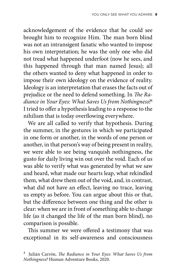acknowledgement of the evidence that he could see brought him to recognize Him. The man born blind was not an intransigent fanatic who wanted to impose his own interpretation; he was the only one who did not tread what happened underfoot (now he sees, and this happened through that man named Jesus); all the others wanted to deny what happened in order to impose their own ideology on the evidence of reality. Ideology is an interpretation that erases the facts out of prejudice or the need to defend something. In *The Radiance in Your Eyes: What Saves Us from Nothingness?*<sup>4</sup> I tried to offer a hypothesis leading to a response to the nihilism that is today overflowing everywhere.

We are all called to verify that hypothesis. During the summer, in the gestures in which we participated in one form or another, in the words of one person or another, in that person's way of being present in reality, we were able to see being vanquish nothingness, the gusto for daily living win out over the void. Each of us was able to verify what was generated by what we saw and heard, what made our hearts leap, what rekindled them, what drew them out of the void, and, in contrast, what did not have an effect, leaving no trace, leaving us empty as before. You can argue about this or that, but the difference between one thing and the other is clear: when we are in front of something able to change life (as it changed the life of the man born blind), no comparison is possible.

This summer we were offered a testimony that was exceptional in its self-awareness and consciousness

<sup>4</sup> Julián Carrón, *The Radiance in Your Eyes: What Saves Us from Nothingness?* Human Adventure Books, 2020.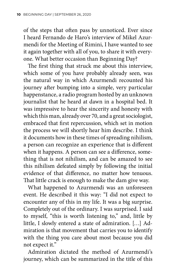of the steps that often pass by unnoticed. Ever since I heard Fernando de Haro's interview of Mikel Azurmendi for the Meeting of Rimini, I have wanted to see it again together with all of you, to share it with everyone. What better occasion than Beginning Day?

The first thing that struck me about this interview, which some of you have probably already seen, was the natural way in which Azurmendi recounted his journey after bumping into a simple, very particular happenstance, a radio program hosted by an unknown journalist that he heard at dawn in a hospital bed. It was impressive to hear the sincerity and honesty with which this man, already over 70, and a great sociologist, embraced that first repercussion, which set in motion the process we will shortly hear him describe. I think it documents how in these times of spreading nihilism, a person can recognize an experience that is different when it happens. A person can see a difference, something that is not nihilism, and can be amazed to see this nihilism defeated simply by following the initial evidence of that difference, no matter how tenuous. That little crack is enough to make the dam give way.

What happened to Azurmendi was an unforeseen event. He described it this way: "I did not expect to encounter any of this in my life. It was a big surprise. Completely out of the ordinary. I was surprised. I said to myself, "this is worth listening to," and, little by little, I slowly entered a state of admiration. […] Admiration is that movement that carries you to identify with the thing you care about most because you did not expect it."

Admiration dictated the method of Azurmendi's journey, which can be summarized in the title of this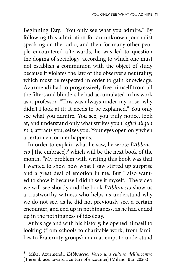Beginning Day: "You only see what you admire." By following this admiration for an unknown journalist speaking on the radio, and then for many other people encountered afterwards, he was led to question the dogma of sociology, according to which one must not establish a communion with the object of study because it violates the law of the observer's neutrality, which must be respected in order to gain knowledge. Azurmendi had to progressively free himself from all the filters and blinders he had accumulated in his work as a professor. "This was always under my nose; why didn't I look at it? It needs to be explained." You only see what you admire. You see, you truly notice, look at, and understand only what strikes you ("*affici aliqua re*"), attracts you, seizes you. Your eyes open only when a certain encounter happens.

In order to explain what he saw, he wrote *L'Abbraccio* [The embrace],<sup>5</sup> which will be the next book of the month. "My problem with writing this book was that I wanted to show how what I saw stirred up surprise and a great deal of emotion in me. But I also wanted to show it because I didn't see it myself." The video we will see shortly and the book *L'Abbraccio* show us a trustworthy witness who helps us understand why we do not see, as he did not previously see, a certain encounter, and end up in nothingness, as he had ended up in the nothingness of ideology.

At his age and with his history, he opened himself to looking (from schools to charitable work, from families to Fraternity groups) in an attempt to understand

<sup>5</sup> Mikel Azurmendi, *L'Abbraccio: Verso una cultura dell'incontro*  [The embrace: toward a culture of encounter] (Milano: Bur, 2020.)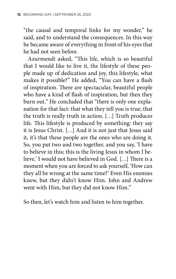"the causal and temporal links for my wonder," he said, and to understand the consequences. In this way he became aware of everything in front of his eyes that he had not seen before.

Azurmendi asked, "This life, which is so beautiful that I would like to live it, the lifestyle of these people made up of dedication and joy, this lifestyle, what makes it possible?" He added, "You can have a flash of inspiration. There are spectacular, beautiful people who have a kind of flash of inspiration, but then they burn out." He concluded that "there is only one explanation for that fact: that what they tell you is true; that the truth is really truth in action. […] Truth produces life. This lifestyle is produced by something: they say it is Jesus Christ. […] And it is not just that Jesus said it, it's that these people are the ones who are doing it. So, you put two and two together, and you say, 'I have to believe in this; this is the living Jesus in whom I believe.' I would not have believed in God. […] There is a moment when you are forced to ask yourself, 'How can they all be wrong at the same time?' Even His enemies knew, but they didn't know Him. John and Andrew went with Him, but they did not know Him."

So then, let's watch him and listen to him together.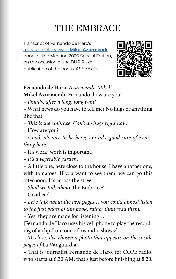### THE EMBRACE

Transcript of Fernando de Haro's [television interview of](https://www.youtube.com/watch?v=92Dc4YygsSA) **Mikel Azurmendi**, done for the Meeting 2020 Special Edition[,](https://www.youtube.com/watch?v=92Dc4YygsSA)  on the occasion of the BUR Rizzoli publication of the book *L'Abbraccio*.



**Fernando de Haro**. *Azurmendi, Mikel!*

**Mikel Azurmendi**. Fernando, how are you?!

*– Finally, after a long, long wait!* 

– What news do you have to tell me? No hugs or anything like that.

*– This is the embrace. Can't do hugs right now.* 

– How are you?

*– Good; it's nice to be here; you take good care of everything here.*

– It's work; work is important.

*– It's a vegetable garden.* 

– A little one, here close to the house. I have another one, with tomatoes. If you want to see them, we can go this afternoon. It's across the street.

*– Shall we talk about* The Embrace?

– Go ahead.

*– Let's talk about the first pages… you could almost listen to the first pages of this book, rather than read them.* 

– Yes, they are made for listening…

[Fernando de Haro uses his cell phone to play the recording of a clip from one of his radio shows:]

*– To close, I've chosen a photo that appears on the inside pages of* La Vanguardia.

– That is journalist Fernando de Haro, for COPE radio, who starts at 6:30 AM; that's just before finishing at 8:20.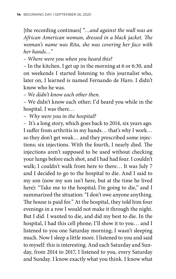[the recording continues] "*…and against the wall was an African American woman, dressed in a black jacket. The woman's name was Rita, she was covering her face with her hands…"* 

*– Where were you when you heard this?* 

– In the kitchen. I get up in the morning at 6 or 6:30, and on weekends I started listening to this journalist who, later on, I learned is named Fernando de Haro. I didn't know who he was.

*– We didn't know each other then.*

– We didn't know each other; I'd heard you while in the hospital. I was there…

*– Why were you in the hospital?* 

– It's a long story, which goes back to 2014, six years ago. I suffer from arthritis in my hands… that's why I work… so they don't get weak… and they prescribed some injections; six injections. With the fourth, I nearly died. The injections aren't supposed to be used without checking your lungs before each shot, and I had had four. I couldn't walk; I couldn't walk from here to there… It was July 7 and I decided to go to the hospital to die. And I said to my son (now my son isn't here, but at the time he lived here): "Take me to the hospital; I'm going to die," and I summarized the situation: "I don't owe anyone anything. The house is paid for." At the hospital, they told him four evenings in a row I would not make it through the night. But I did. I wanted to die, and did my best to die. In the hospital, I had this cell phone; I'll show it to you… and I listened to you one Saturday morning; I wasn't sleeping much. Now I sleep a little more. I listened to you and said to myself: this is interesting. And each Saturday and Sunday, from 2014 to 2017, I listened to you, every Saturday and Sunday. I know exactly what you think. I know what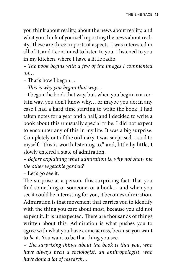you think about reality, about the news about reality, and what you think of yourself reporting the news about reality. These are three important aspects. I was interested in all of it, and I continued to listen to you. I listened to you in my kitchen, where I have a little radio.

*– The book begins with a few of the images I commented on…*

– That's how I began…

*– This is why you began that way…*

– I began the book that way, but, when you begin in a certain way, you don't know why… or maybe you do; in any case I had a hard time starting to write the book. I had taken notes for a year and a half, and I decided to write a book about this unusually special tribe. I did not expect to encounter any of this in my life. It was a big surprise. Completely out of the ordinary. I was surprised. I said to myself, "this is worth listening to," and, little by little, I slowly entered a state of admiration.

*– Before explaining what admiration is, why not show me the other vegetable garden?* 

– Let's go see it.

The surprise at a person, this surprising fact: that you find something or someone, or a book… and when you see it could be interesting for you, it becomes admiration. Admiration is that movement that carries you to identify with the thing you care about most, because you did not expect it. It is unexpected. There are thousands of things written about this. Admiration is what pushes you to agree with what you have come across, because you want to *be* it. You want to be that thing you see.

*– The surprising things about the book is that you, who have always been a sociologist, an anthropologist, who have done a lot of research…*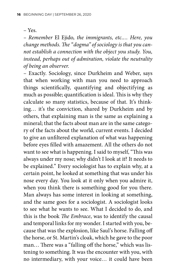– Yes.

*– Remember* El Ejido*, the immigrants, etc.… Here, you change methods. The "dogma" of sociology is that you cannot establish a connection with the object you study. You, instead, perhaps out of admiration, violate the neutrality of being an observer.*

– Exactly. Sociology, since Durkheim and Weber, says that when working with man you need to approach things scientifically, quantifying and objectifying as much as possible; quantification is ideal. This is why they calculate so many statistics, because of that. It's thinking… it's the conviction, shared by Durkheim and by others, that explaining man is the same as explaining a mineral; that the facts about man are in the same category of the facts about the world, current events. I decided to give an unfiltered explanation of what was happening before eyes filled with amazement. All the others do not want to see what is happening. I said to myself, "This was always under my nose; why didn't I look at it? It needs to be explained." Every sociologist has to explain why, at a certain point, he looked at something that was under his nose every day. You look at it only when you admire it, when you think there is something good for you there. Man always has some interest in looking at something, and the same goes for a sociologist. A sociologist looks to see what he wants to see. What I decided to do, and this is the book *The Embrace*, was to identify the causal and temporal links for my wonder. I started with you, because that was the explosion, like Saul's horse. Falling off the horse, or St. Martin's cloak, which he gave to the poor man... There was a "falling off the horse," which was listening to something. It was the encounter with you, with no intermediary, with your voice… it could have been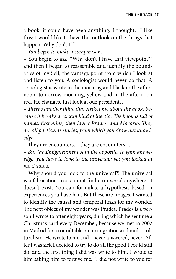a book, it could have been anything. I thought, "I like this; I would like to have this outlook on the things that happen. Why don't I?"

*– You begin to make a comparison.*

– You begin to ask, "Why don't I have that viewpoint?" and then I began to reassemble and identify the boundaries of my Self, the vantage point from which I look at and listen to you. A sociologist would never do that. A sociologist is white in the morning and black in the afternoon; tomorrow morning, yellow and in the afternoon red. He changes. Just look at our president…

*– There's another thing that strikes me about the book, because it breaks a certain kind of inertia. The book is full of names: first mine, then Javier Prades, and Macario. They are all particular stories, from which you draw out knowledge.*

– They are encounters… they are encounters…

*– But the Enlightenment said the opposite: to gain knowledge, you have to look to the universal; yet you looked at particulars.*

– Why should you look to the universal?! The universal is a fabrication. You cannot find a universal anywhere. It doesn't exist. You can formulate a hypothesis based on experiences you have had. But these are images. I wanted to identify the causal and temporal links for my wonder. The next object of my wonder was Prades. Prades is a person I wrote to after eight years, during which he sent me a Christmas card every December, because we met in 2002 in Madrid for a roundtable on immigration and multi-culturalism. He wrote to me and I never answered, never! After I was sick I decided to try to do all the good I could still do, and the first thing I did was write to him. I wrote to him asking him to forgive me. "I did not write to you for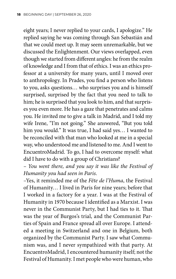eight years; I never replied to your cards, I apologize." He replied saying he was coming through San Sebastián and that we could meet up. It may seem unremarkable, but we discussed the Enlightenment. Our views overlapped, even though we started from different angles: he from the realm of knowledge and I from that of ethics. I was an ethics professor at a university for many years, until I moved over to anthropology. In Prades, you find a person who listens to you, asks questions… who surprises you and is himself surprised, surprised by the fact that you need to talk to him; he is surprised that you look to him, and that surprises you even more. He has a gaze that penetrates and calms you. He invited me to give a talk in Madrid, and I told my wife Irene, "I'm not going." She answered, "But you told him you would." It was true, I had said yes… I wanted to be reconciled with that man who looked at me in a special way, who understood me and listened to me. And I went to EncuentroMadrid. To go, I had to overcome myself: what did I have to do with a group of Christians?

*– You went there, and you say it was like the Festival of Humanity you had seen in Paris.* 

–Yes, it reminded me of the *Fête de l'Huma*, the Festival of Humanity… I lived in Paris for nine years; before that I worked in a factory for a year. I was at the Festival of Humanity in 1970 because I identified as a Marxist. I was never in the Communist Party, but I had ties to it. That was the year of Burgos's trial, and the Communist Parties of Spain and France spread all over Europe. I attended a meeting in Switzerland and one in Belgium, both organized by the Communist Party. I saw what Communism was, and I never sympathized with that party. At EncuentroMadrid, I encountered humanity itself; not the Festival of Humanity. I met people who were human, who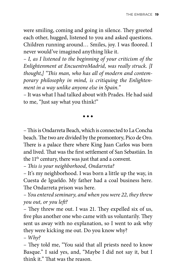were smiling, coming and going in silence. They greeted each other, hugged, listened to you and asked questions. Children running around… Smiles, joy. I was floored. I never would've imagined anything like it.

*– I, as I listened to the beginning of your criticism of the Enlightenment at EncuentroMadrid, was really struck. [I thought,] "This man, who has all of modern and contemporary philosophy in mind, is critiquing the Enlightenment in a way unlike anyone else in Spain."*

– It was what I had talked about with Prades. He had said to me, "Just say what you think!"

◆ ◆ ◆

– This is Ondarreta Beach, which is connected to La Concha beach. The two are divided by the promontory, Pico de Oro. There is a palace there where King Juan Carlos was born and lived. That was the first settlement of San Sebastián. In the 11th century, there was just that and a convent.

*– This is your neighborhood, Ondarreta?* 

– It's my neighborhood. I was born a little up the way, in Cuesta de Igueldo. My father had a coal business here. The Ondarreta prison was here.

*– You entered seminary, and when you were 22, they threw you out, or you left?*

– They threw me out. I was 21. They expelled six of us, five plus another one who came with us voluntarily. They sent us away with no explanation, so I went to ask why they were kicking me out. Do you know why?

*– Why?*

– They told me, "You said that all priests need to know Basque." I said yes, and, "Maybe I did not say it, but I think it." That was the reason.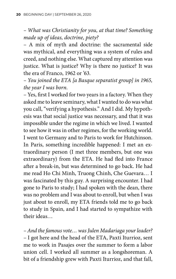*– What was Christianity for you, at that time? Something made up of ideas, doctrine, piety?* 

– A mix of myth and doctrine: the sacramental side was mythical, and everything was a system of rules and creed, and nothing else. What captured my attention was justice. What is justice? Why is there no justice? It was the era of Franco, 1962 or '63.

*– You joined the ETA [a Basque separatist group] in 1965, the year I was born.* 

– Yes, first I worked for two years in a factory. When they asked me to leave seminary, what I wanted to do was what you call, "verifying a hypothesis." And I did. My hypothesis was that social justice was necessary, and that it was impossible under the regime in which we lived. I wanted to see how it was in other regimes, for the working world. I went to Germany and to Paris to work for Hutchinson. In Paris, something incredible happened: I met an extraordinary person (I met three members, but one was extraordinary) from the ETA. He had fled into France after a break-in, but was determined to go back. He had me read Ho Chi Minh, Truong Chinh, Che Guevara… I was fascinated by this guy. A surprising encounter. I had gone to Paris to study; I had spoken with the dean, there was no problem and I was about to enroll, but when I was just about to enroll, my ETA friends told me to go back to study in Spain, and I had started to sympathize with their ideas…

*– And the famous vote… was Julen Madariaga your leader?* – I got here and the head of the ETA, Paxti Iturrioz, sent me to work in Pasajes over the summer to form a labor union cell. I worked all summer as a longshoreman. A bit of a friendship grew with Paxti Iturrioz, and that fall,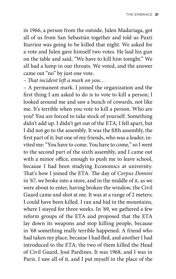in 1966, a person from the outside, Julen Madariaga, got all of us from San Sebastián together and told us Paxti Iturrioz was going to be killed that night. We asked for a vote and Julen gave himself two votes. He laid his gun on the table and said, "We have to kill him tonight." We all had a lump in our throats. We voted, and the answer came out "no" by just one vote.

*– That incident left a mark on you…*

– A permanent mark. I joined the organization and the first thing I am asked to do is to vote to kill a person; I looked around me and saw a bunch of cowards, not like me. It's terrible when you vote to kill a person. Who are you? You are forced to take stock of yourself. Something didn't add up. I didn't get out of the ETA; I fell apart, but I did not go to the assembly. It was the fifth assembly, the first part of it; but one of my friends, who was a leader, invited me: "You have to come. You have to come," so I went to the second part of the sixth assembly, and I came out with a minor office, enough to push me to leave school, because I had been studying Economics at university. That's how I joined the ETA. The day of *Corpus Domini* in '67, we broke into a store, and in the middle of it, as we were about to enter, having broken the window, the Civil Guard came and shot at me. It was at a range of 2 meters; I could have been killed. I ran and hid in the mountains, where I stayed for three weeks. In '69, we gathered a few reform groups of the ETA and proposed that the ETA lay down its weapons and stop killing people, because in '68 something really terrible happened. A friend who had taken my place, because I had fled, and another I had introduced to the ETA; the two of them killed the Head of Civil Guard, José Pardines. It was 1968, and I was in Paris. I saw all of it, and I put myself in the place of the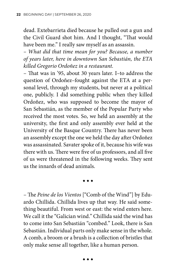dead. Extebarrieta died because he pulled out a gun and the Civil Guard shot him. And I thought, "That would have been me." I really saw myself as an assassin.

*– What did that time mean for you? Because, a number of years later, here in downtown San Sebastián, the ETA killed Gregorio Ordoñez in a restaurant.*

– That was in '95, about 30 years later. I–to address the question of Ordoñez–fought against the ETA at a personal level, through my students, but never at a political one, publicly. I did something public when they killed Ordoñez, who was supposed to become the mayor of San Sebastián, as the member of the Popular Party who received the most votes. So, we held an assembly at the university, the first and only assembly ever held at the University of the Basque Country. There has never been an assembly except the one we held the day after Ordoñez was assassinated. Savater spoke of it, because his wife was there with us. There were five of us professors, and all five of us were threatened in the following weeks. They sent us the innards of dead animals.

◆ ◆ ◆

– The *Peine de los Vientos* ["Comb of the Wind"] by Eduardo Chillida. Chillida lives up that way. He said something beautiful. From west or east: the wind enters here. We call it the "Galician wind." Chillida said the wind has to come into San Sebastián "combed." Look, there is San Sebastián. Individual parts only make sense in the whole. A comb, a broom or a brush is a collection of bristles that only make sense all together, like a human person.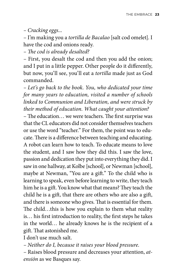*– Cracking eggs...*

– I'm making you a *tortilla de Bacalao* [salt cod omelet]. I have the cod and onions ready.

*– The cod is already desalted?* 

– First, you desalt the cod and then you add the onion; and I put in a little pepper. Other people do it differently, but now, you'll see, you'll eat a *tortilla* made just as God commanded.

*– Let's go back to the book. You, who dedicated your time for many years to education, visited a number of schools linked to Communion and Liberation, and were struck by their method of education. What caught your attention?* 

– The education… we were teachers. The first surprise was that the CL educators did not consider themselves teachers or use the word "teacher." For them, the point was to educate. There is a difference between teaching and educating. A robot can learn how to teach. To educate means to love the student, and I saw how they did this. I saw the love, passion and dedication they put into everything they did. I saw in one hallway, at Kolbe [school], or Newman [school], maybe at Newman, "You are a gift." To the child who is learning to speak, even before learning to write, they teach him he is a gift. You know what that means? They teach the child he is a gift, that there are others who are also a gift, and there is someone who gives. That is essential for them. The child…this is how you explain to them what reality is… his first introduction to reality, the first steps he takes in the world… he already knows he is the recipient of a gift. That astonished me.

I don't use much salt.

*– Neither do I, because it raises your blood pressure.*

– Raises blood pressure and decreases your attention, *atensión* as we Basques say.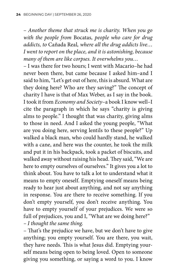– *Another theme that struck me is charity. When you go with the people from* Bocatas*, people who care for drug addicts, to* Cañada Real*, where all the drug addicts live… I went to report on the place, and it is astonishing, because many of them are like corpses. It overwhelms you…*

– I was there for two hours; I went with Macario–he had never been there, but came because I asked him–and I said to him, "Let's get out of here, this is absurd. What are they doing here? Who are they saving?" The concept of charity I have is that of Max Weber, as I say in the book. I took it from *Economy and Society*–a book I know well–I cite the paragraph in which he says "charity is giving alms to people." I thought that was charity, giving alms to those in need. And I asked the young people, "What are you doing here, serving lentils to these people?" Up walked a black man, who could hardly stand, he walked with a cane, and here was the counter, he took the milk and put it in his backpack, took a packet of biscuits, and walked away without raising his head. They said, "We are here to empty ourselves of ourselves." It gives you a lot to think about. You have to talk a lot to understand what it means to empty oneself. Emptying oneself means being ready to hear just about anything, and not say anything in response. You are there to receive something. If you don't empty yourself, you don't receive anything. You have to empty yourself of your prejudices. We were so full of prejudices, you and I, "What are we doing here?" *– I thought the same thing.*

– That's the prejudice we have, but we don't have to give anything; you empty yourself. You are there, you wait, they have needs. This is what Jesus did. Emptying yourself means being open to being loved. Open to someone giving you something, or saying a word to you. I know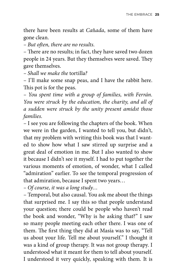there have been results at *Ca*ñ*ada*, some of them have gone clean.

*– But often, there are no results.* 

– There are no results; in fact, they have saved two dozen people in 24 years. But they themselves were saved. They gave themselves.

*– Shall we make the* tortilla*?*

– I'll make some snap peas, and I have the rabbit here. This pot is for the peas.

*– You spent time with a group of families, with Ferrán. You were struck by the education, the charity, and all of a sudden were struck by the unity present amidst those families.*

– I see you are following the chapters of the book. When we were in the garden, I wanted to tell you, but didn't, that my problem with writing this book was that I wanted to show how what I saw stirred up surprise and a great deal of emotion in me. But I also wanted to show it because I didn't see it myself. I had to put together the various moments of emotion, of wonder, what I called "admiration" earlier. To see the temporal progression of that admiration, because I spent two years…

*– Of course, it was a long study…*

– Temporal, but also causal. You ask me about the things that surprised me. I say this so that people understand your question; there could be people who haven't read the book and wonder, "Why is he asking that?" I saw so many people meeting each other there. I was one of them. The first thing they did at Masía was to say, "Tell us about your life. Tell me about yourself." I thought it was a kind of group therapy. It was not group therapy. I understood what it meant for them to tell about yourself. I understood it very quickly, speaking with them. It is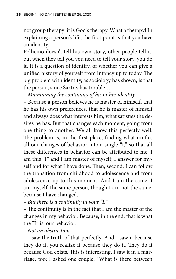not group therapy; it is God's therapy. What a therapy! In explaining a person's life, the first point is that you have an identity.

Pollicino doesn't tell his own story, other people tell it, but when they tell you you need to tell your story, you do it. It is a question of identify, of whether you can give a unified history of yourself from infancy up to today. The big problem with identity, as sociology has shown, is that the person, since Sartre, has trouble…

*– Maintaining the continuity of his or her identity.*

– Because a person believes he is master of himself, that he has his own preferences, that he is master of himself and always does what interests him, what satisfies the desires he has. But that changes each moment, going from one thing to another. We all know this perfectly well. The problem is, in the first place, finding what unifies all our changes of behavior into a single "I," so that all these differences in behavior can be attributed to me. I am this "I" and I am master of myself; I answer for myself and for what I have done. Then, second, I can follow the transition from childhood to adolescence and from adolescence up to this moment. And I am the same. I am myself, the same person, though I am not the same, because I have changed.

*– But there is a continuity in your "I."*

– The continuity is in the fact that I am the master of the changes in my behavior. Because, in the end, that is what the "I" is, our behavior.

*– Not an abstraction.*

– I saw the truth of that perfectly. And I saw it because they do it; you realize it because they do it. They do it because God exists. This is interesting, I saw it in a marriage, too; I asked one couple, "What is there between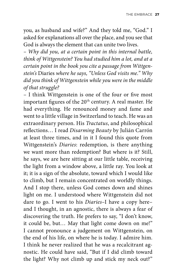you, as husband and wife?" And they told me, "God." I asked for explanations all over the place, and you see that God is always the element that can unite two lives.

*– Why did you, at a certain point in this internal battle, think of Wittgenstein? You had studied him a lot, and at a certain point in the book you cite a passage from Wittgenstein's* Diaries *where he says, "Unless God visits me." Why did you think of Wittgenstein while you were in the middle of that struggle?*

– I think Wittgenstein is one of the four or five most important figures of the 20<sup>th</sup> century. A real master. He had everything. He renounced money and fame and went to a little village in Switzerland to teach. He was an extraordinary person. His *Tractatus*, and philosophical reflections… I read *Disarming Beauty* by Julián Carrón at least three times, and in it I found this quote from Wittgenstein's *Diaries*: redemption, is there anything we want more than redemption? But where is it? Still, he says, we are here sitting at our little table, receiving the light from a window above, a little ray. You look at it; it is a sign of the absolute, toward which I would like to climb, but I remain concentrated on worldly things. And I stop there, unless God comes down and shines light on me. I understood where Wittgenstein did not dare to go. I went to his *Diaries–*I have a copy here– and I thought, in an agnostic, there is always a fear of discovering the truth. He prefers to say, "I don't know, it could be, but… May that light come down on me!" I cannot pronounce a judgement on Wittgenstein, on the end of his life, on where he is today. I admire him. I think he never realized that he was a recalcitrant agnostic. He could have said, "But if I did climb toward the light? Why not climb up and stick my neck out?"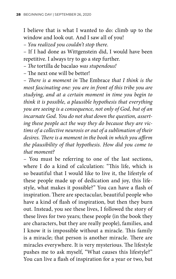I believe that is what I wanted to do: climb up to the window and look out. And I saw all of you!

*– You realized you couldn't stop there.*

– If I had done as Wittgenstein did, I would have been repetitive. I always try to go a step further.

*– The* tortilla de bacalao *was stupendous!*

– The next one will be better!

*– There is a moment in* The Embrace *that I think is the most fascinating one: you are in front of this tribe you are studying, and at a certain moment in time you begin to think it is possible, a plausible hypothesis that everything you are seeing is a consequence, not only of God, but of an incarnate God. You do not shut down the question, asserting these people act the way they do because they are victims of a collective neurosis or out of a sublimation of their desires. There is a moment in the book in which you affirm the plausibility of that hypothesis. How did you come to that moment?*

– You must be referring to one of the last sections, where I do a kind of calculation: "This life, which is so beautiful that I would like to live it, the lifestyle of these people made up of dedication and joy, this lifestyle, what makes it possible?" You can have a flash of inspiration. There are spectacular, beautiful people who have a kind of flash of inspiration, but then they burn out. Instead, you see these lives, I followed the story of these lives for two years; these people (in the book they are characters, but they are really people), families, and I know it is impossible without a miracle. This family is a miracle; that person is another miracle. There are miracles everywhere. It is very mysterious. The lifestyle pushes me to ask myself, "What causes this lifestyle?" You can live a flash of inspiration for a year or two, but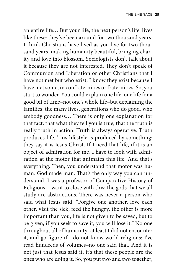an entire life… But your life, the next person's life, lives like these: they've been around for two thousand years. I think Christians have lived as you live for two thousand years, making humanity beautiful, bringing charity and love into blossom. Sociologists don't talk about it because they are not interested. They don't speak of Communion and Liberation or other Christians that I have not met but who exist, I know they exist because I have met some, in confraternities or fraternities. So, you start to wonder. You could explain one life, one life for a good bit of time–not one's whole life–but explaining the families, the many lives, generations who do good, who embody goodness… There is only one explanation for that fact: that what they tell you is true; that the truth is really truth in action. Truth is always operative. Truth produces life. This lifestyle is produced by something: they say it is Jesus Christ. If I need that life, if it is an object of admiration for me, I have to look with admiration at the motor that animates this life. And that's everything. Then, you understand that motor was human. God made man. That's the only way you can understand. I was a professor of Comparative History of Religions. I want to close with this: the gods that we all study are abstractions. There was never a person who said what Jesus said, "Forgive one another, love each other, visit the sick, feed the hungry, the other is more important than you, life is not given to be saved, but to be given; if you seek to save it, you will lose it." No one throughout all of humanity–at least I did not encounter it, and go figure if I do not know world religions; I've read hundreds of volumes–no one said that. And it is not just that Jesus said it, it's that these people are the ones who are doing it. So, you put two and two together,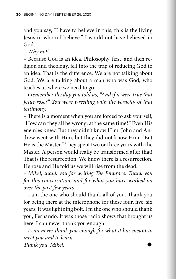and you say, "I have to believe in this; this is the living Jesus in whom I believe." I would not have believed in God.

*– Why not?*

– Because God is an idea. Philosophy, first, and then religion and theology, fell into the trap of reducing God to an idea. That is the difference. We are not talking about God. We are talking about a man who was God, who teaches us where we need to go.

*– I remember the day you told us, "And if it were true that Jesus rose?" You were wrestling with the veracity of that testimony.* 

– There is a moment when you are forced to ask yourself, "How can they all be wrong, at the same time?" Even His enemies knew. But they didn't know Him. John and Andrew went with Him, but they did not know Him. "But He is the Master." They spent two or three years with the Master. A person would really be transformed after that! That is the resurrection. We know there is a resurrection. He rose and He told us we will rise from the dead.

*– Mikel, thank you for writing The Embrace. Thank you for this conversation, and for what you have worked on over the past few years.* 

– I am the one who should thank all of you. Thank you for being there at the microphone for these four, five, six years. It was lightning bolt. I'm the one who should thank you, Fernando. It was those radio shows that brought us here. I can never thank you enough.

*– I can never thank you enough for what it has meant to meet you and to learn.* 

 $\mathit{Thanks}$  you, Mikel.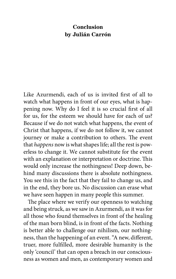#### **Conclusion by Julián Carrón**

Like Azurmendi, each of us is invited first of all to watch what happens in front of our eyes, what is happening now. Why do I feel it is so crucial first of all for us, for the esteem we should have for each of us? Because if we do not watch what happens, the event of Christ that happens, if we do not follow it, we cannot journey or make a contribution to others. The event that *happens* now is what shapes life; all the rest is powerless to change it. We cannot substitute for the event with an explanation or interpretation or doctrine. This would only increase the nothingness! Deep down, behind many discussions there is absolute nothingness. You see this in the fact that they fail to change us, and in the end, they bore us. No discussion can erase what we have seen happen in many people this summer.

The place where we verify our openness to watching and being struck, as we saw in Azurmendi, as it was for all those who found themselves in front of the healing of the man born blind, is in front of the facts. Nothing is better able to challenge our nihilism, our nothingness, than the happening of an event. "A new, different, truer, more fulfilled, more desirable humanity is the only 'council' that can open a breach in our consciousness as women and men, as contemporary women and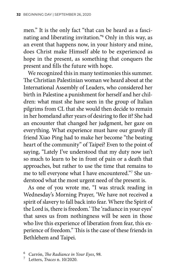men." It is the only fact "that can be heard as a fascinating and liberating invitation."6 Only in this way, as an event that happens now, in your history and mine, does Christ make Himself able to be experienced as hope in the present, as something that conquers the present and fills the future with hope.

We recognized this in many testimonies this summer. The Christian Palestinian woman we heard about at the International Assembly of Leaders, who considered her birth in Palestine a punishment for herself and her children: what must she have seen in the group of Italian pilgrims from CL that she would then decide to remain in her homeland after years of desiring to flee it? She had an encounter that changed her judgment, her gaze on everything. What experience must have our gravely ill friend Xiao Ping had to make her become "the beating heart of the community" of Taipei? Even to the point of saying, "Lately I've understood that my duty now isn't so much to learn to be in front of pain or a death that approaches, but rather to use the time that remains to me to tell everyone what I have encountered."7 She understood what the most urgent need of the present is.

As one of you wrote me, "I was struck reading in Wednesday's Morning Prayer, 'We have not received a spirit of slavery to fall back into fear. Where the Spirit of the Lord is, there is freedom.' The 'radiance in your eyes' that saves us from nothingness will be seen in those who live this experience of liberation from fear, this experience of freedom." This is the case of these friends in Bethlehem and Taipei.

<sup>6</sup> Carrón, *The Radiance in Your Eyes*, 98. <sup>7</sup> Letters, *Traces* n. 10/2020.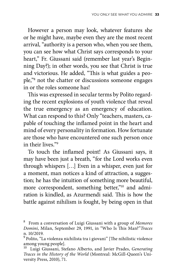However a person may look, whatever features she or he might have, maybe even they are the most recent arrival, "authority is a person who, when you see them, you can see how what Christ says corresponds to your heart," Fr. Giussani said (remember last year's Beginning Day?); in other words, you see that Christ is true and victorious. He added, "This is what guides a people,"8 not the chatter or discussions someone engages in or the roles someone has!

This was expressed in secular terms by Polito regarding the recent explosions of youth violence that reveal the true emergency as an emergency of education. What can respond to this? Only "teachers, masters, capable of touching the inflamed point in the heart and mind of every personality in formation. How fortunate are those who have encountered one such person once in their lives."9

To touch the inflamed point! As Giussani says, it may have been just a breath, "for the Lord works even through whispers […] Even in a whisper, even just for a moment, man notices a kind of attraction, a suggestion; he has the intuition of something more beautiful, more correspondent, something better,"<sup>10</sup> and admiration is kindled, as Azurmendi said. This is how the battle against nihilism is fought, by being open in that

<sup>8</sup> From a conversation of Luigi Giussani with a group of *Memores Domini*, Milan, September 29, 1991, in "Who Is This Man?"*Traces* n. 10/2019.

<sup>9</sup> Polito, "La violenza nichilista tra i giovani" [The nihilistic violence among young people].

<sup>10</sup> Luigi Giussani, Stefano Alberto, and Javier Prades, *Generating Traces in the History of the World* (Montreal: McGill-Queen's University Press, 2010), 71.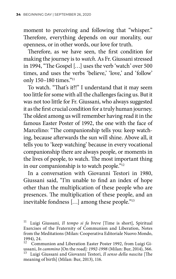moment to perceiving and following that "whisper." Therefore, everything depends on our morality, our openness, or in other words, our love for truth.

Therefore, as we have seen, the first condition for making the journey is to *watch*. As Fr. Giussani stressed in 1994, "The Gospel […] uses the verb 'watch' over 500 times, and uses the verbs 'believe,' 'love,' and 'follow' only 150–180 times."11

To watch. "That's it?!" I understand that it may seem too little for some with all the challenges facing us. But it was not too little for Fr. Giussani, who always suggested it as the first crucial condition for a truly human journey. The oldest among us will remember having read it in the famous Easter Poster of 1992, the one with the face of Marcelino: "The companionship tells you: keep watching, because afterwards the sun will shine. Above all, it tells you to 'keep watching' because in every vocational companionship there are always people, or moments in the lives of people, to watch. The most important thing in our companionship is to watch people."12

In a conversation with Giovanni Testori in 1980, Giussani said, "I'm unable to find an index of hope other than the multiplication of these people who are presences. The multiplication of these people, and an inevitable fondness […] among these people."13

<sup>11</sup> Luigi Giussani, *Il tempo si fa breve* [Time is short], Spiritual Exercises of the Fraternity of Communion and Liberation, Notes from the Meditations (Milan: Cooperativa Editoriale Nuovo Mondo, 1994), 24.

<sup>&</sup>lt;sup>12</sup> Communion and Liberation Easter Poster 1992, from Luigi Gi-<br>ussani, *In cammino* [On the road]: 1992-1998 (Milan: Bur, 2014), 366. Luigi Giussani and Giovanni Testori, *Il senso della nascita* [The meaning of birth] (Milan: Bur, 2013), 116.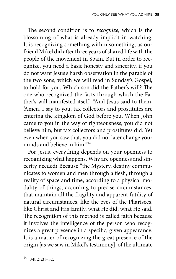The second condition is to *recognize*, which is the blossoming of what is already implicit in watching. It is recognizing something within something, as our friend Mikel did after three years of shared life with the people of the movement in Spain. But in order to recognize, you need a basic honesty and sincerity, if you do not want Jesus's harsh observation in the parable of the two sons, which we will read in Sunday's Gospel, to hold for you. Which son did the Father's will? The one who recognized the facts through which the Father's will manifested itself! "And Jesus said to them, 'Amen, I say to you, tax collectors and prostitutes are entering the kingdom of God before you. When John came to you in the way of righteousness, you did not believe him; but tax collectors and prostitutes did. Yet even when you saw that, you did not later change your minds and believe in him."14

For Jesus, everything depends on your openness to recognizing what happens. Why are openness and sincerity needed? Because "the Mystery, destiny communicates to women and men through a flesh, through a reality of space and time, according to a physical modality of things, according to precise circumstances, that maintain all the fragility and apparent futility of natural circumstances, like the eyes of the Pharisees, like Christ and His family, what He did, what He said. The recognition of this method is called faith because it involves the intelligence of the person who recognizes a great presence in a specific, given appearance. It is a matter of recognizing the great presence of the origin [as we saw in Mikel's testimony], of the ultimate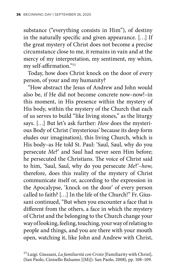substance ("everything consists in Him"), of destiny in the naturally specific and given appearance. […] If the great mystery of Christ does not become a precise circumstance close to me, it remains in vain and at the mercy of my interpretation, my sentiment, my whim, my self-affirmation."15

Today, how does Christ knock on the door of every person, of your and my humanity?

"How abstract the Jesus of Andrew and John would also be, if He did not become concrete now–now!–in this moment, in His presence within the mystery of His body, within the mystery of the Church that each of us serves to build "like living stones," as the liturgy says. […] But let's ask further: *How* does the mysterious Body of Christ ('mysterious' because its deep form eludes our imagination), this living Church, which is His body–as He told St. Paul: 'Saul, Saul, why do you persecute *Me*?' and Saul had never seen Him before; he persecuted the Christians. The voice of Christ said to him, 'Saul, Saul, why do you persecute *Me*?'–*how*, therefore, does this reality of the mystery of Christ communicate itself or, according to the expression in the Apocalypse, 'knock on the door' of every person called to faith? […] In the life of the Church!" Fr. Giussani continued, "But when you encounter a face that is different from the others, a face in which the mystery of Christ and the belonging to the Church change your way of looking, feeling, touching, your way of relating to people and things, and you are there with your mouth open, watching it, like John and Andrew with Christ,

<sup>15</sup> Luigi. Giussani, *La familiarità con Cristo* [Familiarity with Christ], (San Paolo, Cinisello Balsamo [(Mi]): San Paolo, 2008), pp. 108–109.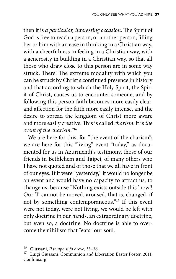then it is *a particular, interesting occasion*. The Spirit of God is free to reach a person, or another person, filling her or him with an ease in thinking in a Christian way, with a cheerfulness in feeling in a Christian way, with a generosity in building in a Christian way, so that all those who draw close to this person are in some way struck. There! The extreme modality with which you can be struck by Christ's continued presence in history and that according to which the Holy Spirit, the Spirit of Christ, causes us to encounter someone, and by following this person faith becomes more easily clear, and affection for the faith more easily intense, and the desire to spread the kingdom of Christ more aware and more easily creative. This is called *charism*: it is *the event of the charism*."16

We are here for this, for "the event of the charism"; we are here for this "living" event "today," as documented for us in Azurmendi's testimony, those of our friends in Bethlehem and Taipei, of many others who I have not quoted and of those that we all have in front of our eyes. If it were "yesterday," it would no longer be an event and would have no capacity to attract us, to change us, because "Nothing exists outside this 'now'! Our 'I' cannot be moved, aroused, that is, changed, if not by something contemporaneous."17 If this event were not today, were not living, we would be left with only doctrine in our hands, an extraordinary doctrine, but even so, a doctrine. No doctrine is able to overcome the nihilism that "eats" our soul.

<sup>&</sup>lt;sup>16</sup> Giussani, *Il tempo si fa breve*, 35–36.<br><sup>17</sup> Luigi Giussani, Communion and Liberation Easter Poster, 2011, clonline.org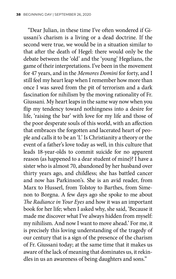"Dear Julian, in these time I've often wondered if Giussani's charism is a living or a dead doctrine. If the second were true, we would be in a situation similar to that after the death of Hegel: there would only be the debate between the 'old' and the 'young' Hegelians, the game of their interpretations. I've been in the movement for 47 years, and in the *Memores Domini* for forty, and I still feel my heart leap when I remember how more than once I was saved from the pit of terrorism and a dark fascination for nihilism by the moving rationality of Fr. Giussani. My heart leaps in the same way now when you flip my tendency toward nothingness into a desire for life, 'raising the bar' with love for my life and those of the poor desperate souls of this world, with an affection that embraces the forgotten and lacerated heart of people and calls it to be an 'I.' Is Christianity a theory or the event of a father's love today as well, in this culture that leads 18-year-olds to commit suicide for no apparent reason (as happened to a dear student of mine)? I have a sister who is almost 70, abandoned by her husband over thirty years ago, and childless; she has battled cancer and now has Parkinson's. She is an avid reader, from Marx to Husserl, from Tolstoy to Barthes, from Simenon to Borgna. A few days ago she spoke to me about *The Radiance in Your Eyes* and how it was an important book for her life; when I asked why, she said, 'Because it made me discover what I've always hidden from myself: my nihilism. And now I want to move ahead.' For me, it is precisely this loving understanding of the tragedy of our century that is a sign of the presence of the charism of Fr. Giussani today; at the same time that it makes us aware of the lack of meaning that dominates us, it rekindles in us an awareness of being daughters and sons."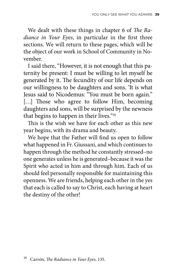We dealt with these things in chapter 6 of *The Radiance in Your Eyes*, in particular in the first three sections. We will return to these pages, which will be the object of our work in School of Community in November.

I said there, "However, it is not enough that this paternity be present: I must be willing to let myself be generated by it. The fecundity of our life depends on our willingness to be daughters and sons. 'It is what Jesus said to Nicodemus: "You must be born again." [...] Those who agree to follow Him, becoming daughters and sons, will be surprised by the newness that begins to happen in their lives."18

This is the wish we have for each other as this new year begins, with its drama and beauty.

We hope that the Father will find us open to follow what happened in Fr. Giussani, and which continues to happen through the method he constantly stressed–no one generates unless he is generated–because it was the Spirit who acted in him and through him. Each of us should feel personally responsible for maintaining this openness. We are friends, helping each other in the yes that each is called to say to Christ, each having at heart the destiny of the other!